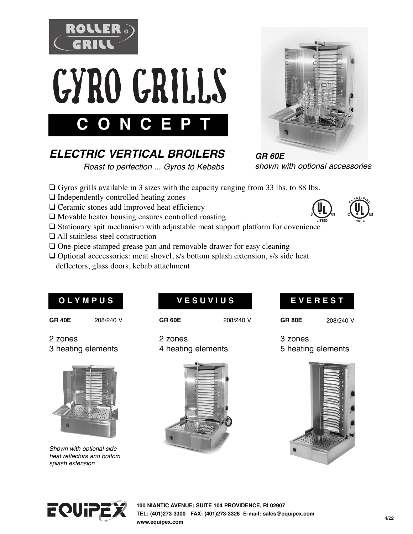



# *ELECTRIC VERTICAL BROILERS*

 *Roast to perfection ... Gyros to Kebabs*



*GR 60E shown with optional accessories*

- $\Box$  Gyros grills available in 3 sizes with the capacity ranging from 33 lbs. to 88 lbs.
- $\Box$  Independently controlled heating zones
- $\Box$  Ceramic stones add improved heat efficiency
- $\Box$  Movable heater housing ensures controlled roasting
- $\square$  Stationary spit mechanism with adjustable meat support platform for covenience
- $\Box$  All stainless steel construction
- $\Box$  One-piece stamped grease pan and removable drawer for easy cleaning
- $\Box$  Optional acccessories: meat shovel, s/s bottom splash extension, s/s side heat deflectors, glass doors, kebab attachment

## **O L Y M P U S**

## **V E S U V I U S**

**GR 40E** 208/240 V

**GR 60E** 208/240 V

5 heating elements

3 zones

**E V E R E S T**

**GR 80E** 208/240 V

2 zones 3 heating elements



*Shown with optional side heat reflectors and bottom splash extension*

2 zones 4 heating elements









**100 NIANTIC AVENUE; SUITE 104 PROVIDENCE, RI 02907 TEL: (401)273-3300 FAX: (401)273-3328 E-mail: sales@equipex.com www.equipex.com**